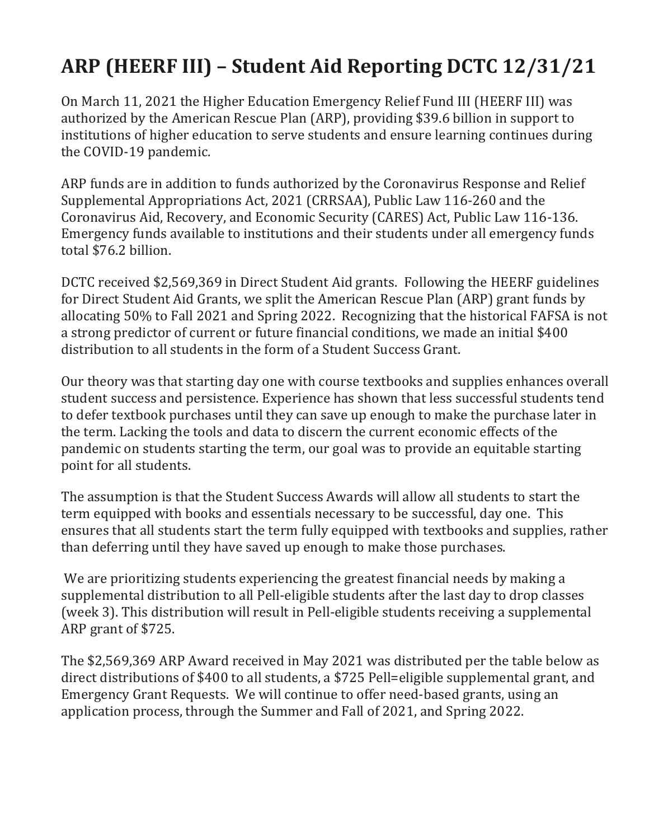## **ARP (HEERF III) – Student Aid Reporting DCTC 12/31/21**

On March 11, 2021 the Higher Education Emergency Relief Fund III (HEERF III) was authorized by the American Rescue Plan (ARP), providing \$39.6 billion in support to institutions of higher education to serve students and ensure learning continues during the COVID-19 pandemic.

ARP funds are in addition to funds authorized by the Coronavirus Response and Relief Supplemental Appropriations Act, 2021 (CRRSAA), Public Law 116-260 and the Coronavirus Aid, Recovery, and Economic Security (CARES) Act, Public Law 116-136. Emergency funds available to institutions and their students under all emergency funds total \$76.2 billion.

DCTC received \$2,569,369 in Direct Student Aid grants. Following the HEERF guidelines for Direct Student Aid Grants, we split the American Rescue Plan (ARP) grant funds by allocating 50% to Fall 2021 and Spring 2022. Recognizing that the historical FAFSA is not a strong predictor of current or future financial conditions, we made an initial \$400 distribution to all students in the form of a Student Success Grant.

Our theory was that starting day one with course textbooks and supplies enhances overall student success and persistence. Experience has shown that less successful students tend to defer textbook purchases until they can save up enough to make the purchase later in the term. Lacking the tools and data to discern the current economic effects of the pandemic on students starting the term, our goal was to provide an equitable starting point for all students.

The assumption is that the Student Success Awards will allow all students to start the term equipped with books and essentials necessary to be successful, day one. This ensures that all students start the term fully equipped with textbooks and supplies, rather than deferring until they have saved up enough to make those purchases.

We are prioritizing students experiencing the greatest financial needs by making a supplemental distribution to all Pell-eligible students after the last day to drop classes (week 3). This distribution will result in Pell-eligible students receiving a supplemental ARP grant of \$725.

The \$2,569,369 ARP Award received in May 2021 was distributed per the table below as direct distributions of \$400 to all students, a \$725 Pell=eligible supplemental grant, and Emergency Grant Requests. We will continue to offer need-based grants, using an application process, through the Summer and Fall of 2021, and Spring 2022.